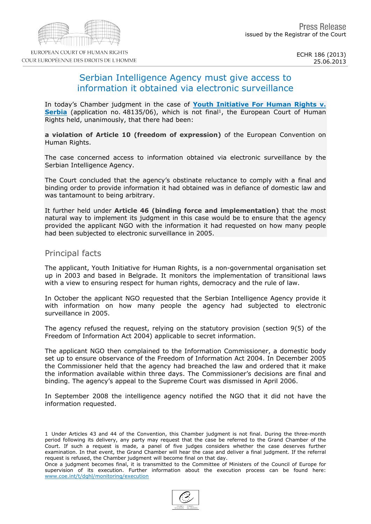# Serbian Intelligence Agency must give access to information it obtained via electronic surveillance

In today's Chamber judgment in the case of [Youth](http://hudoc.echr.coe.int/sites/eng/pages/search.aspx?i=001-120955) [Initiative](http://hudoc.echr.coe.int/sites/eng/pages/search.aspx?i=001-120955) [For](http://hudoc.echr.coe.int/sites/eng/pages/search.aspx?i=001-120955) [Human](http://hudoc.echr.coe.int/sites/eng/pages/search.aspx?i=001-120955) [Rights](http://hudoc.echr.coe.int/sites/eng/pages/search.aspx?i=001-120955) [v.](http://hudoc.echr.coe.int/sites/eng/pages/search.aspx?i=001-120955) [Serbia](http://hudoc.echr.coe.int/sites/eng/pages/search.aspx?i=001-120955) (application no. 48135/06), which is not final<sup>1</sup>, the European Court of Human Rights held, unanimously, that there had been:

a violation of Article 10 (freedom of expression) of the European Convention on Human Rights.

The case concerned access to information obtained via electronic surveillance by the Serbian Intelligence Agency.

The Court concluded that the agency's obstinate reluctance to comply with a final and binding order to provide information it had obtained was in defiance of domestic law and was tantamount to being arbitrary.

It further held under Article 46 (binding force and implementation) that the most natural way to implement its judgment in this case would be to ensure that the agency provided the applicant NGO with the information it had requested on how many people had been subjected to electronic surveillance in 2005.

### Principal facts

The applicant, Youth Initiative for Human Rights, is a non-governmental organisation set up in 2003 and based in Belgrade. It monitors the implementation of transitional laws with a view to ensuring respect for human rights, democracy and the rule of law.

In October the applicant NGO requested that the Serbian Intelligence Agency provide it with information on how many people the agency had subjected to electronic surveillance in 2005.

The agency refused the request, relying on the statutory provision (section 9(5) of the Freedom of Information Act 2004) applicable to secret information.

The applicant NGO then complained to the Information Commissioner, a domestic body set up to ensure observance of the Freedom of Information Act 2004. In December 2005 the Commissioner held that the agency had breached the law and ordered that it make the information available within three days. The Commissioner's decisions are final and binding. The agency's appeal to the Supreme Court was dismissed in April 2006.

In September 2008 the intelligence agency notified the NGO that it did not have the information requested.

<sup>1</sup> Under Articles 43 and 44 of the Convention, this Chamber judgment is not final. During the three-month period following its delivery, any party may request that the case be referred to the Grand Chamber of the Court. If such a request is made, a panel of five judges considers whether the case deserves further examination. In that event, the Grand Chamber will hear the case and deliver a final judgment. If the referral request is refused, the Chamber judgment will become final on that day.

Once a judgment becomes final, it is transmitted to the Committee of Ministers of the Council of Europe for supervision of its execution. Further information about the execution process can be found here: [www.coe.int/t/dghl/monitoring/execution](http://www.coe.int/t/dghl/monitoring/execution)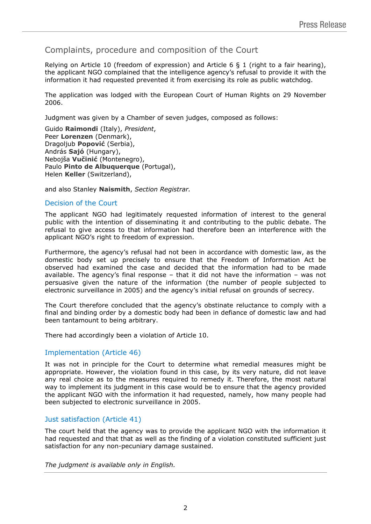Complaints, procedure and composition of the Court

Relying on Article 10 (freedom of expression) and Article 6  $\S$  1 (right to a fair hearing), the applicant NGO complained that the intelligence agency's refusal to provide it with the information it had requested prevented it from exercising its role as public watchdog.

The application was lodged with the European Court of Human Rights on 29 November 2006.

Judgment was given by a Chamber of seven judges, composed as follows:

Guido **Raimondi** (Italy), *President*, Peer **Lorenzen** (Denmark), Dragoljub **Popović** (Serbia), András **Sajó** (Hungary), Nebojša **Vučinić** (Montenegro), Paulo **Pinto de Albuquerque** (Portugal), Helen **Keller** (Switzerland),

and also Stanley **Naismith**, *Section Registrar.*

#### Decision of the Court

The applicant NGO had legitimately requested information of interest to the general public with the intention of disseminating it and contributing to the public debate. The refusal to give access to that information had therefore been an interference with the applicant NGO's right to freedom of expression.

Furthermore, the agency's refusal had not been in accordance with domestic law, as the domestic body set up precisely to ensure that the Freedom of Information Act be observed had examined the case and decided that the information had to be made available. The agency's final response – that it did not have the information – was not persuasive given the nature of the information (the number of people subjected to electronic surveillance in 2005) and the agency's initial refusal on grounds of secrecy.

The Court therefore concluded that the agency's obstinate reluctance to comply with a final and binding order by a domestic body had been in defiance of domestic law and had been tantamount to being arbitrary.

There had accordingly been a violation of Article 10.

## Implementation (Article 46)

It was not in principle for the Court to determine what remedial measures might be appropriate. However, the violation found in this case, by its very nature, did not leave any real choice as to the measures required to remedy it. Therefore, the most natural way to implement its judgment in this case would be to ensure that the agency provided the applicant NGO with the information it had requested, namely, how many people had been subjected to electronic surveillance in 2005.

## Just satisfaction (Article 41)

The court held that the agency was to provide the applicant NGO with the information it had requested and that that as well as the finding of a violation constituted sufficient just satisfaction for any non-pecuniary damage sustained.

*The judgment is available only in English.*